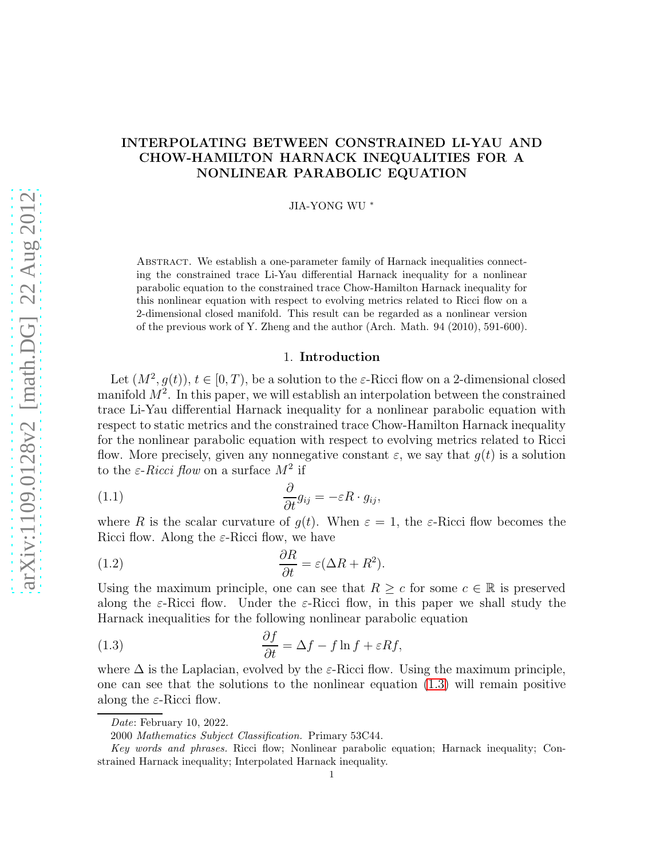# INTERPOLATING BETWEEN CONSTRAINED LI-YAU AND CHOW-HAMILTON HARNACK INEQUALITIES FOR A NONLINEAR PARABOLIC EQUATION

JIA-YONG WU <sup>∗</sup>

Abstract. We establish a one-parameter family of Harnack inequalities connecting the constrained trace Li-Yau differential Harnack inequality for a nonlinear parabolic equation to the constrained trace Chow-Hamilton Harnack inequality for this nonlinear equation with respect to evolving metrics related to Ricci flow on a 2-dimensional closed manifold. This result can be regarded as a nonlinear version of the previous work of Y. Zheng and the author (Arch. Math. 94 (2010), 591-600).

## <span id="page-0-1"></span>1. Introduction

Let  $(M^2, g(t))$ ,  $t \in [0, T)$ , be a solution to the  $\varepsilon$ -Ricci flow on a 2-dimensional closed manifold  $M^2$ . In this paper, we will establish an interpolation between the constrained trace Li-Yau differential Harnack inequality for a nonlinear parabolic equation with respect to static metrics and the constrained trace Chow-Hamilton Harnack inequality for the nonlinear parabolic equation with respect to evolving metrics related to Ricci flow. More precisely, given any nonnegative constant  $\varepsilon$ , we say that  $g(t)$  is a solution to the  $\varepsilon$ -*Ricci flow* on a surface  $M^2$  if

(1.1) 
$$
\frac{\partial}{\partial t}g_{ij} = -\varepsilon R \cdot g_{ij},
$$

where R is the scalar curvature of  $g(t)$ . When  $\varepsilon = 1$ , the  $\varepsilon$ -Ricci flow becomes the Ricci flow. Along the  $\varepsilon$ -Ricci flow, we have

<span id="page-0-2"></span>(1.2) 
$$
\frac{\partial R}{\partial t} = \varepsilon (\Delta R + R^2).
$$

Using the maximum principle, one can see that  $R \geq c$  for some  $c \in \mathbb{R}$  is preserved along the  $\varepsilon$ -Ricci flow. Under the  $\varepsilon$ -Ricci flow, in this paper we shall study the Harnack inequalities for the following nonlinear parabolic equation

<span id="page-0-0"></span>(1.3) 
$$
\frac{\partial f}{\partial t} = \Delta f - f \ln f + \varepsilon R f,
$$

where  $\Delta$  is the Laplacian, evolved by the  $\varepsilon$ -Ricci flow. Using the maximum principle, one can see that the solutions to the nonlinear equation [\(1.3\)](#page-0-0) will remain positive along the  $\varepsilon$ -Ricci flow.

Date: February 10, 2022.

<sup>2000</sup> Mathematics Subject Classification. Primary 53C44.

Key words and phrases. Ricci flow; Nonlinear parabolic equation; Harnack inequality; Constrained Harnack inequality; Interpolated Harnack inequality.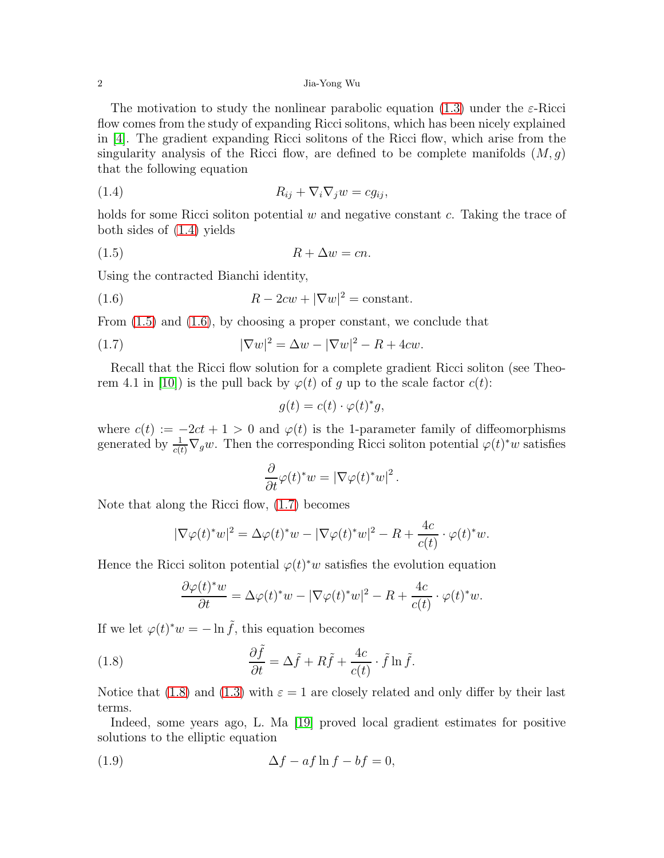The motivation to study the nonlinear parabolic equation [\(1.3\)](#page-0-0) under the  $\varepsilon$ -Ricci flow comes from the study of expanding Ricci solitons, which has been nicely explained in [4]. The gradient expanding Ricci solitons of the Ricci flow, which arise from the singularity analysis of the Ricci flow, are defined to be complete manifolds  $(M, g)$ that the following equation

<span id="page-1-0"></span>
$$
(1.4) \t\t R_{ij} + \nabla_i \nabla_j w = c g_{ij},
$$

holds for some Ricci soliton potential  $w$  and negative constant  $c$ . Taking the trace of both sides of [\(1.4\)](#page-1-0) yields

$$
(1.5) \t\t R + \Delta w = cn.
$$

Using the contracted Bianchi identity,

(1.6) 
$$
R - 2cw + |\nabla w|^2 = \text{constant}.
$$

From  $(1.5)$  and  $(1.6)$ , by choosing a proper constant, we conclude that

(1.7) 
$$
|\nabla w|^2 = \Delta w - |\nabla w|^2 - R + 4cw.
$$

Recall that the Ricci flow solution for a complete gradient Ricci soliton (see Theorem 4.1 in [10]) is the pull back by  $\varphi(t)$  of q up to the scale factor  $c(t)$ :

<span id="page-1-3"></span><span id="page-1-2"></span><span id="page-1-1"></span>
$$
g(t) = c(t) \cdot \varphi(t)^* g,
$$

where  $c(t) := -2ct + 1 > 0$  and  $\varphi(t)$  is the 1-parameter family of diffeomorphisms generated by  $\frac{1}{c(t)}\nabla_g w$ . Then the corresponding Ricci soliton potential  $\varphi(t)^*w$  satisfies

$$
\frac{\partial}{\partial t}\varphi(t)^*w = |\nabla \varphi(t)^*w|^2.
$$

Note that along the Ricci flow, [\(1.7\)](#page-1-3) becomes

$$
|\nabla \varphi(t)^* w|^2 = \Delta \varphi(t)^* w - |\nabla \varphi(t)^* w|^2 - R + \frac{4c}{c(t)} \cdot \varphi(t)^* w.
$$

Hence the Ricci soliton potential  $\varphi(t)^*w$  satisfies the evolution equation

<span id="page-1-4"></span>
$$
\frac{\partial \varphi(t)^* w}{\partial t} = \Delta \varphi(t)^* w - |\nabla \varphi(t)^* w|^2 - R + \frac{4c}{c(t)} \cdot \varphi(t)^* w.
$$

If we let  $\varphi(t)^*w = -\ln \tilde{f}$ , this equation becomes

(1.8) 
$$
\frac{\partial \tilde{f}}{\partial t} = \Delta \tilde{f} + R\tilde{f} + \frac{4c}{c(t)} \cdot \tilde{f} \ln \tilde{f}.
$$

Notice that [\(1.8\)](#page-1-4) and [\(1.3\)](#page-0-0) with  $\varepsilon = 1$  are closely related and only differ by their last terms.

Indeed, some years ago, L. Ma [19] proved local gradient estimates for positive solutions to the elliptic equation

<span id="page-1-5"></span>(1.9) ∆f − af ln f − bf = 0,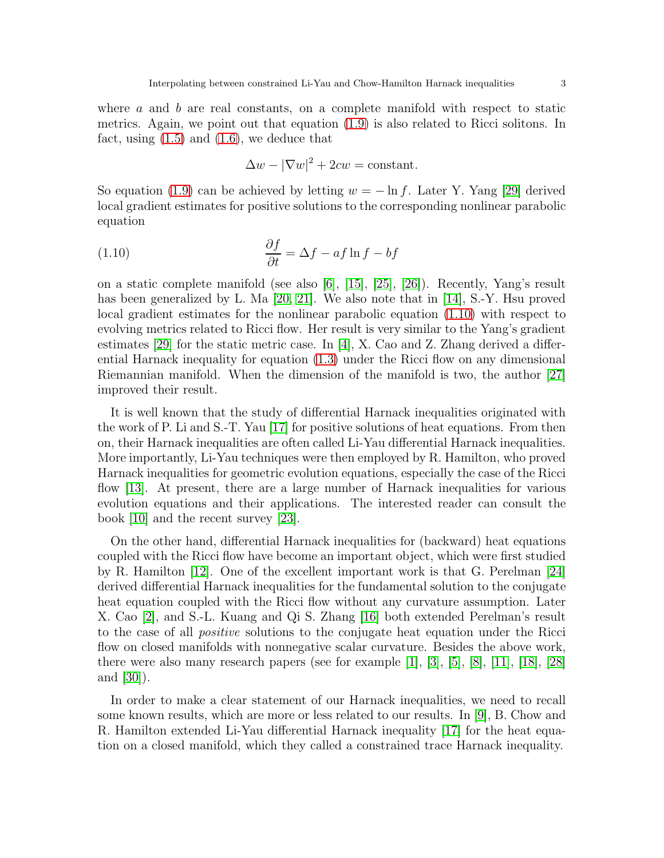where  $a$  and  $b$  are real constants, on a complete manifold with respect to static metrics. Again, we point out that equation [\(1.9\)](#page-1-5) is also related to Ricci solitons. In fact, using  $(1.5)$  and  $(1.6)$ , we deduce that

<span id="page-2-0"></span>
$$
\Delta w - |\nabla w|^2 + 2cw = \text{constant}.
$$

So equation [\(1.9\)](#page-1-5) can be achieved by letting  $w = -\ln f$ . Later Y. Yang [29] derived local gradient estimates for positive solutions to the corresponding nonlinear parabolic equation

(1.10) 
$$
\frac{\partial f}{\partial t} = \Delta f - af \ln f - bf
$$

on a static complete manifold (see also [6], [15], [25], [26]). Recently, Yang's result has been generalized by L. Ma [20, 21]. We also note that in [14], S.-Y. Hsu proved local gradient estimates for the nonlinear parabolic equation [\(1.10\)](#page-2-0) with respect to evolving metrics related to Ricci flow. Her result is very similar to the Yang's gradient estimates [29] for the static metric case. In [4], X. Cao and Z. Zhang derived a differential Harnack inequality for equation [\(1.3\)](#page-0-0) under the Ricci flow on any dimensional Riemannian manifold. When the dimension of the manifold is two, the author [27] improved their result.

It is well known that the study of differential Harnack inequalities originated with the work of P. Li and S.-T. Yau [17] for positive solutions of heat equations. From then on, their Harnack inequalities are often called Li-Yau differential Harnack inequalities. More importantly, Li-Yau techniques were then employed by R. Hamilton, who proved Harnack inequalities for geometric evolution equations, especially the case of the Ricci flow [13]. At present, there are a large number of Harnack inequalities for various evolution equations and their applications. The interested reader can consult the book [10] and the recent survey [\[23\]](#page-11-0).

On the other hand, differential Harnack inequalities for (backward) heat equations coupled with the Ricci flow have become an important object, which were first studied by R. Hamilton [12]. One of the excellent important work is that G. Perelman [24] derived differential Harnack inequalities for the fundamental solution to the conjugate heat equation coupled with the Ricci flow without any curvature assumption. Later X. Cao [2], and S.-L. Kuang and Qi S. Zhang [16] both extended Perelman's result to the case of all *positive* solutions to the conjugate heat equation under the Ricci flow on closed manifolds with nonnegative scalar curvature. Besides the above work, there were also many research papers (see for example [1], [3], [5], [\[8\]](#page-11-1), [11], [18], [28] and [30]).

In order to make a clear statement of our Harnack inequalities, we need to recall some known results, which are more or less related to our results. In [9], B. Chow and R. Hamilton extended Li-Yau differential Harnack inequality [17] for the heat equation on a closed manifold, which they called a constrained trace Harnack inequality.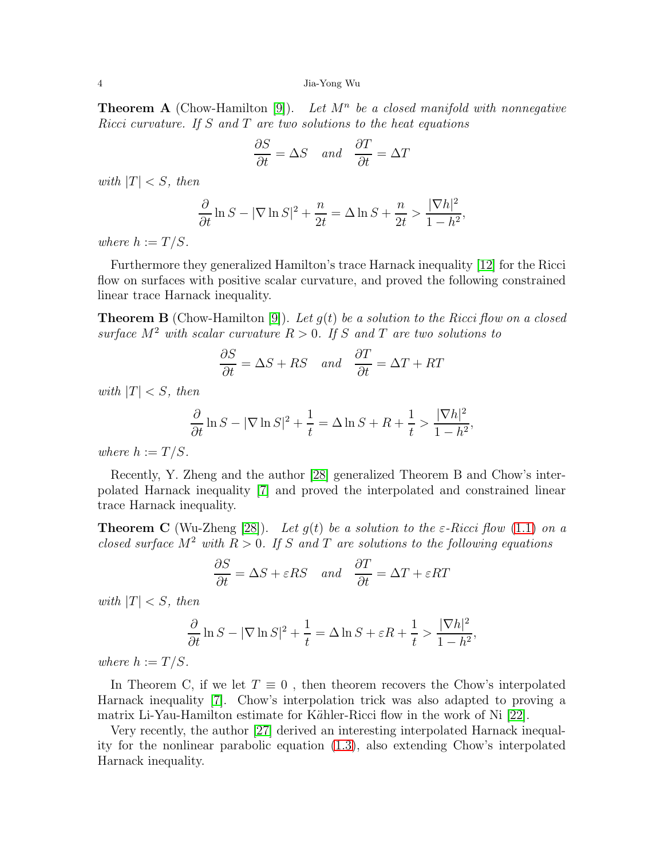**Theorem A** (Chow-Hamilton  $[9]$ ). Let  $M<sup>n</sup>$  be a closed manifold with nonnegative *Ricci curvature. If* S *and* T *are two solutions to the heat equations*

$$
\frac{\partial S}{\partial t} = \Delta S \quad and \quad \frac{\partial T}{\partial t} = \Delta T
$$

*with*  $|T| < S$ *, then* 

$$
\frac{\partial}{\partial t} \ln S - |\nabla \ln S|^2 + \frac{n}{2t} = \Delta \ln S + \frac{n}{2t} > \frac{|\nabla h|^2}{1 - h^2},
$$

*where*  $h := T/S$ *.* 

Furthermore they generalized Hamilton's trace Harnack inequality [12] for the Ricci flow on surfaces with positive scalar curvature, and proved the following constrained linear trace Harnack inequality.

Theorem B (Chow-Hamilton [9]). *Let* g(t) *be a solution to the Ricci flow on a closed surface*  $M^2$  *with scalar curvature*  $R > 0$ *. If* S and T are two solutions to

$$
\frac{\partial S}{\partial t} = \Delta S + RS \quad and \quad \frac{\partial T}{\partial t} = \Delta T + RT
$$

*with*  $|T| < S$ *, then* 

$$
\frac{\partial}{\partial t} \ln S - |\nabla \ln S|^2 + \frac{1}{t} = \Delta \ln S + R + \frac{1}{t} > \frac{|\nabla h|^2}{1 - h^2},
$$

*where*  $h := T/S$ *.* 

Recently, Y. Zheng and the author [28] generalized Theorem B and Chow's interpolated Harnack inequality [7] and proved the interpolated and constrained linear trace Harnack inequality.

**Theorem C** (Wu-Zheng [28]). Let  $g(t)$  be a solution to the  $\varepsilon$ -Ricci flow [\(1.1\)](#page-0-1) on a *closed surface*  $M^2$  *with*  $R > 0$ *. If* S and T are solutions to the following equations

$$
\frac{\partial S}{\partial t} = \Delta S + \varepsilon RS \quad and \quad \frac{\partial T}{\partial t} = \Delta T + \varepsilon RT
$$

*with*  $|T| < S$ *, then* 

$$
\frac{\partial}{\partial t} \ln S - |\nabla \ln S|^2 + \frac{1}{t} = \Delta \ln S + \varepsilon R + \frac{1}{t} > \frac{|\nabla h|^2}{1-h^2},
$$

*where*  $h := T/S$ *.* 

In Theorem C, if we let  $T \equiv 0$ , then theorem recovers the Chow's interpolated Harnack inequality [7]. Chow's interpolation trick was also adapted to proving a matrix Li-Yau-Hamilton estimate for Kähler-Ricci flow in the work of Ni [\[22\]](#page-11-2).

Very recently, the author [27] derived an interesting interpolated Harnack inequality for the nonlinear parabolic equation [\(1.3\)](#page-0-0), also extending Chow's interpolated Harnack inequality.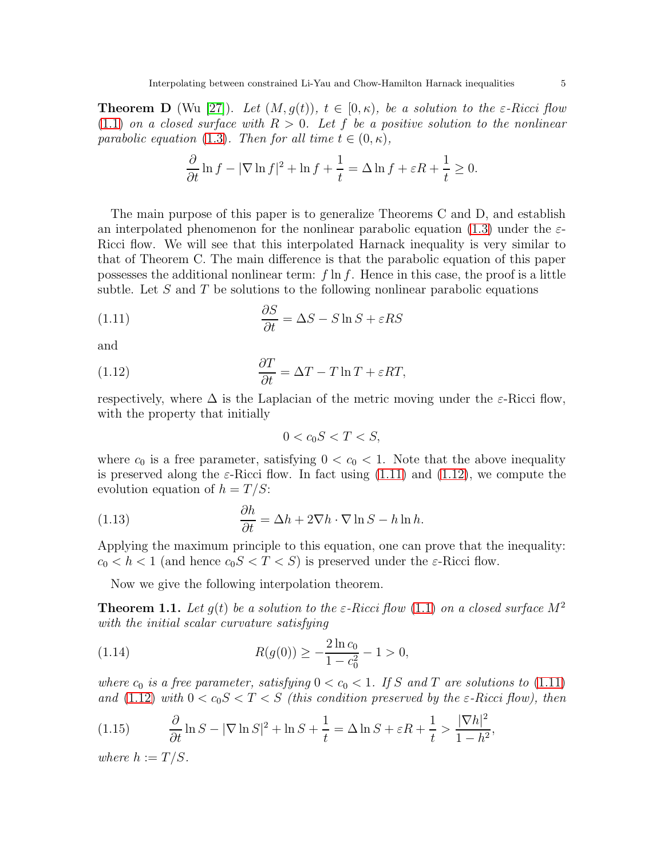**Theorem D** (Wu [27]). Let  $(M, g(t))$ ,  $t \in [0, \kappa)$ , be a solution to the  $\varepsilon$ -Ricci flow  $(1.1)$  *on a closed surface with*  $R > 0$ *. Let* f *be a positive solution to the nonlinear parabolic equation* [\(1.3\)](#page-0-0). Then for all time  $t \in (0, \kappa)$ ,

$$
\frac{\partial}{\partial t} \ln f - |\nabla \ln f|^2 + \ln f + \frac{1}{t} = \Delta \ln f + \varepsilon R + \frac{1}{t} \ge 0.
$$

The main purpose of this paper is to generalize Theorems C and D, and establish an interpolated phenomenon for the nonlinear parabolic equation [\(1.3\)](#page-0-0) under the  $\varepsilon$ -Ricci flow. We will see that this interpolated Harnack inequality is very similar to that of Theorem C. The main difference is that the parabolic equation of this paper possesses the additional nonlinear term:  $f \ln f$ . Hence in this case, the proof is a little subtle. Let  $S$  and  $T$  be solutions to the following nonlinear parabolic equations

(1.11) 
$$
\frac{\partial S}{\partial t} = \Delta S - S \ln S + \varepsilon RS
$$

and

(1.12) 
$$
\frac{\partial T}{\partial t} = \Delta T - T \ln T + \varepsilon RT,
$$

respectively, where  $\Delta$  is the Laplacian of the metric moving under the  $\varepsilon$ -Ricci flow, with the property that initially

<span id="page-4-5"></span><span id="page-4-1"></span><span id="page-4-0"></span>
$$
0 < c_0 S < T < S,
$$

where  $c_0$  is a free parameter, satisfying  $0 < c_0 < 1$ . Note that the above inequality is preserved along the  $\varepsilon$ -Ricci flow. In fact using [\(1.11\)](#page-4-0) and [\(1.12\)](#page-4-1), we compute the evolution equation of  $h = T/S$ :

(1.13) 
$$
\frac{\partial h}{\partial t} = \Delta h + 2\nabla h \cdot \nabla \ln S - h \ln h.
$$

Applying the maximum principle to this equation, one can prove that the inequality:  $c_0 < h < 1$  (and hence  $c_0 S < T < S$ ) is preserved under the  $\varepsilon$ -Ricci flow.

Now we give the following interpolation theorem.

<span id="page-4-2"></span>**Theorem 1.1.** Let  $q(t)$  be a solution to the  $\varepsilon$ -Ricci flow [\(1.1\)](#page-0-1) on a closed surface  $M^2$ *with the initial scalar curvature satisfying*

<span id="page-4-4"></span>(1.14) 
$$
R(g(0)) \ge -\frac{2\ln c_0}{1 - c_0^2} - 1 > 0,
$$

*where*  $c_0$  *is a free parameter, satisfying*  $0 < c_0 < 1$ *. If* S and T are solutions to [\(1.11\)](#page-4-0) *and* [\(1.12\)](#page-4-1) *with*  $0 < c_0 S < T < S$  *(this condition preserved by the*  $\varepsilon$ -*Ricci flow), then* 

<span id="page-4-3"></span>(1.15) 
$$
\frac{\partial}{\partial t} \ln S - |\nabla \ln S|^2 + \ln S + \frac{1}{t} = \Delta \ln S + \varepsilon R + \frac{1}{t} > \frac{|\nabla h|^2}{1 - h^2},
$$

*where*  $h := T/S$ *.*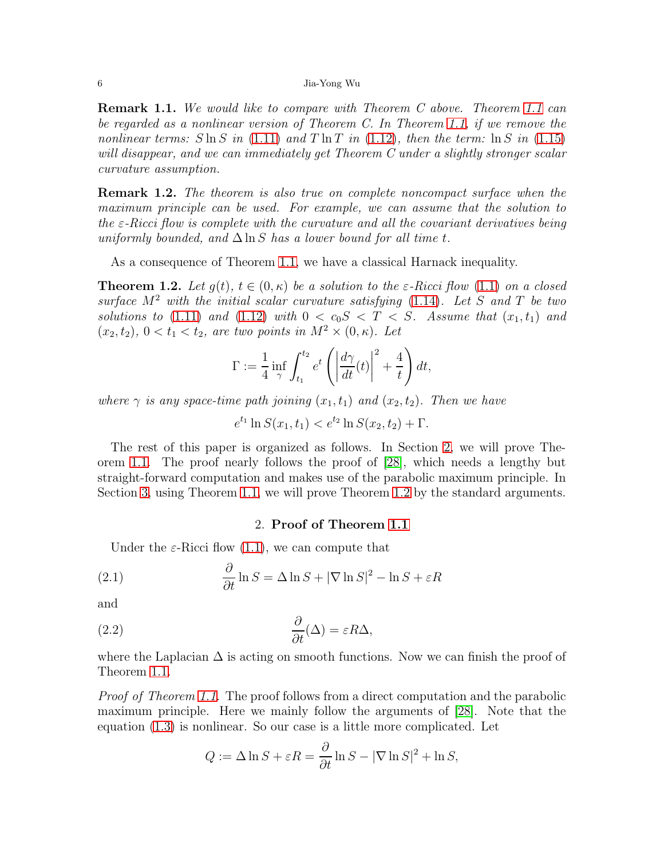Remark 1.1. *We would like to compare with Theorem C above. Theorem [1.1](#page-4-2) can be regarded as a nonlinear version of Theorem C. In Theorem [1.1,](#page-4-2) if we remove the nonlinear terms:*  $S \ln S$  *in* [\(1.11\)](#page-4-0) and  $T \ln T$  *in* [\(1.12\)](#page-4-1)*, then the term:*  $\ln S$  *in* [\(1.15\)](#page-4-3) *will disappear, and we can immediately get Theorem C under a slightly stronger scalar curvature assumption.*

Remark 1.2. *The theorem is also true on complete noncompact surface when the maximum principle can be used. For example, we can assume that the solution to the* ε*-Ricci flow is complete with the curvature and all the covariant derivatives being uniformly bounded, and*  $\Delta \ln S$  *has a lower bound for all time t.* 

As a consequence of Theorem [1.1,](#page-4-2) we have a classical Harnack inequality.

<span id="page-5-1"></span>**Theorem 1.2.** Let  $q(t)$ ,  $t \in (0, \kappa)$  be a solution to the  $\varepsilon$ -Ricci flow [\(1.1\)](#page-0-1) on a closed *surface* M<sup>2</sup> *with the initial scalar curvature satisfying* [\(1.14\)](#page-4-4)*. Let* S *and* T *be two solutions to* [\(1.11\)](#page-4-0) *and* [\(1.12\)](#page-4-1) *with*  $0 < c_0 S < T < S$ *. Assume that*  $(x_1, t_1)$  *and*  $(x_2, t_2)$ ,  $0 < t_1 < t_2$ , are two points in  $M^2 \times (0, \kappa)$ . Let

$$
\Gamma := \frac{1}{4} \inf_{\gamma} \int_{t_1}^{t_2} e^t \left( \left| \frac{d\gamma}{dt}(t) \right|^2 + \frac{4}{t} \right) dt,
$$

*where*  $\gamma$  *is any space-time path joining*  $(x_1, t_1)$  *and*  $(x_2, t_2)$ *. Then we have* 

 $e^{t_1} \ln S(x_1, t_1) < e^{t_2} \ln S(x_2, t_2) + \Gamma.$ 

The rest of this paper is organized as follows. In Section [2,](#page-5-0) we will prove Theorem [1.1.](#page-4-2) The proof nearly follows the proof of [28], which needs a lengthy but straight-forward computation and makes use of the parabolic maximum principle. In Section [3,](#page-10-0) using Theorem [1.1,](#page-4-2) we will prove Theorem [1.2](#page-5-1) by the standard arguments.

# <span id="page-5-3"></span><span id="page-5-2"></span>2. Proof of Theorem [1.1](#page-4-2)

<span id="page-5-0"></span>Under the  $\varepsilon$ -Ricci flow [\(1.1\)](#page-0-1), we can compute that

(2.1) 
$$
\frac{\partial}{\partial t} \ln S = \Delta \ln S + |\nabla \ln S|^2 - \ln S + \varepsilon R
$$

and

(2.2) 
$$
\frac{\partial}{\partial t}(\Delta) = \varepsilon R \Delta,
$$

where the Laplacian  $\Delta$  is acting on smooth functions. Now we can finish the proof of Theorem [1.1.](#page-4-2)

*Proof of Theorem [1.1.](#page-4-2)* The proof follows from a direct computation and the parabolic maximum principle. Here we mainly follow the arguments of [28]. Note that the equation [\(1.3\)](#page-0-0) is nonlinear. So our case is a little more complicated. Let

$$
Q := \Delta \ln S + \varepsilon R = \frac{\partial}{\partial t} \ln S - |\nabla \ln S|^2 + \ln S,
$$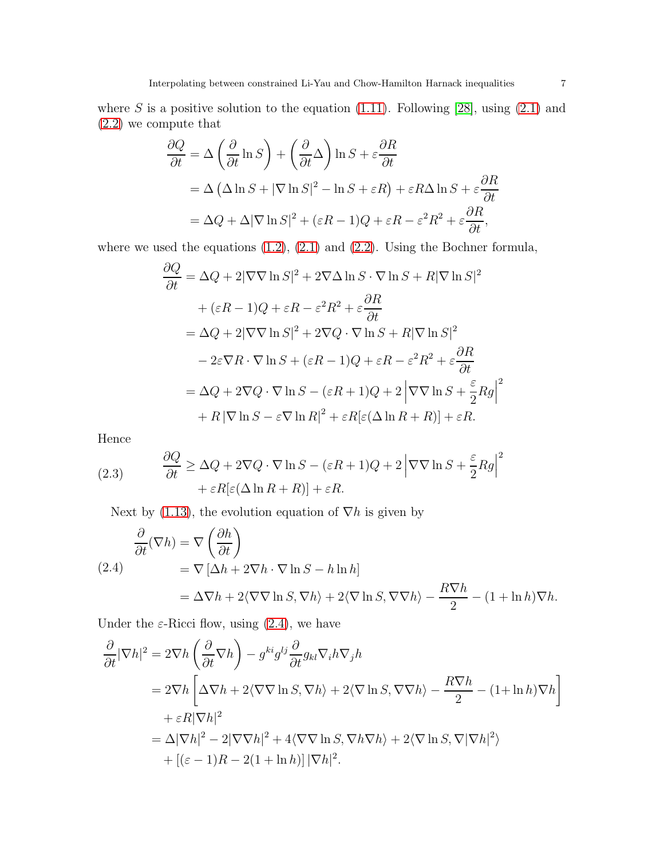$$
\frac{\partial Q}{\partial t} = \Delta \left( \frac{\partial}{\partial t} \ln S \right) + \left( \frac{\partial}{\partial t} \Delta \right) \ln S + \varepsilon \frac{\partial R}{\partial t}
$$
  
=  $\Delta \left( \Delta \ln S + |\nabla \ln S|^2 - \ln S + \varepsilon R \right) + \varepsilon R \Delta \ln S + \varepsilon \frac{\partial R}{\partial t}$   
=  $\Delta Q + \Delta |\nabla \ln S|^2 + (\varepsilon R - 1)Q + \varepsilon R - \varepsilon^2 R^2 + \varepsilon \frac{\partial R}{\partial t},$ 

where we used the equations  $(1.2)$ ,  $(2.1)$  and  $(2.2)$ . Using the Bochner formula,

$$
\frac{\partial Q}{\partial t} = \Delta Q + 2|\nabla \nabla \ln S|^2 + 2\nabla \Delta \ln S \cdot \nabla \ln S + R|\nabla \ln S|^2
$$
  
+  $(\varepsilon R - 1)Q + \varepsilon R - \varepsilon^2 R^2 + \varepsilon \frac{\partial R}{\partial t}$   
=  $\Delta Q + 2|\nabla \nabla \ln S|^2 + 2\nabla Q \cdot \nabla \ln S + R|\nabla \ln S|^2$   
-  $2\varepsilon \nabla R \cdot \nabla \ln S + (\varepsilon R - 1)Q + \varepsilon R - \varepsilon^2 R^2 + \varepsilon \frac{\partial R}{\partial t}$   
=  $\Delta Q + 2\nabla Q \cdot \nabla \ln S - (\varepsilon R + 1)Q + 2|\nabla \nabla \ln S + \frac{\varepsilon}{2} R g|^2$   
+  $R|\nabla \ln S - \varepsilon \nabla \ln R|^2 + \varepsilon R[\varepsilon (\Delta \ln R + R)] + \varepsilon R.$ 

Hence

<span id="page-6-1"></span>(2.3) 
$$
\frac{\partial Q}{\partial t} \ge \Delta Q + 2\nabla Q \cdot \nabla \ln S - (\varepsilon R + 1)Q + 2|\nabla \nabla \ln S + \frac{\varepsilon}{2} Rg|^{2} + \varepsilon R[\varepsilon (\Delta \ln R + R)] + \varepsilon R.
$$

Next by [\(1.13\)](#page-4-5), the evolution equation of  $\nabla h$  is given by

<span id="page-6-0"></span>
$$
\frac{\partial}{\partial t}(\nabla h) = \nabla \left(\frac{\partial h}{\partial t}\right)
$$
\n
$$
= \nabla \left[\Delta h + 2\nabla h \cdot \nabla \ln S - h \ln h\right]
$$
\n
$$
= \Delta \nabla h + 2 \langle \nabla \nabla \ln S, \nabla h \rangle + 2 \langle \nabla \ln S, \nabla \nabla h \rangle - \frac{R \nabla h}{2} - (1 + \ln h) \nabla h.
$$

Under the  $\varepsilon$ -Ricci flow, using [\(2.4\)](#page-6-0), we have

$$
\frac{\partial}{\partial t} |\nabla h|^2 = 2\nabla h \left( \frac{\partial}{\partial t} \nabla h \right) - g^{ki} g^{lj} \frac{\partial}{\partial t} g_{kl} \nabla_i h \nabla_j h
$$
  
\n
$$
= 2\nabla h \left[ \Delta \nabla h + 2 \langle \nabla \nabla \ln S, \nabla h \rangle + 2 \langle \nabla \ln S, \nabla \nabla h \rangle - \frac{R \nabla h}{2} - (1 + \ln h) \nabla h \right]
$$
  
\n
$$
+ \varepsilon R |\nabla h|^2
$$
  
\n
$$
= \Delta |\nabla h|^2 - 2 |\nabla \nabla h|^2 + 4 \langle \nabla \nabla \ln S, \nabla h \nabla h \rangle + 2 \langle \nabla \ln S, \nabla |\nabla h|^2 \rangle
$$
  
\n
$$
+ [(\varepsilon - 1)R - 2(1 + \ln h)] |\nabla h|^2.
$$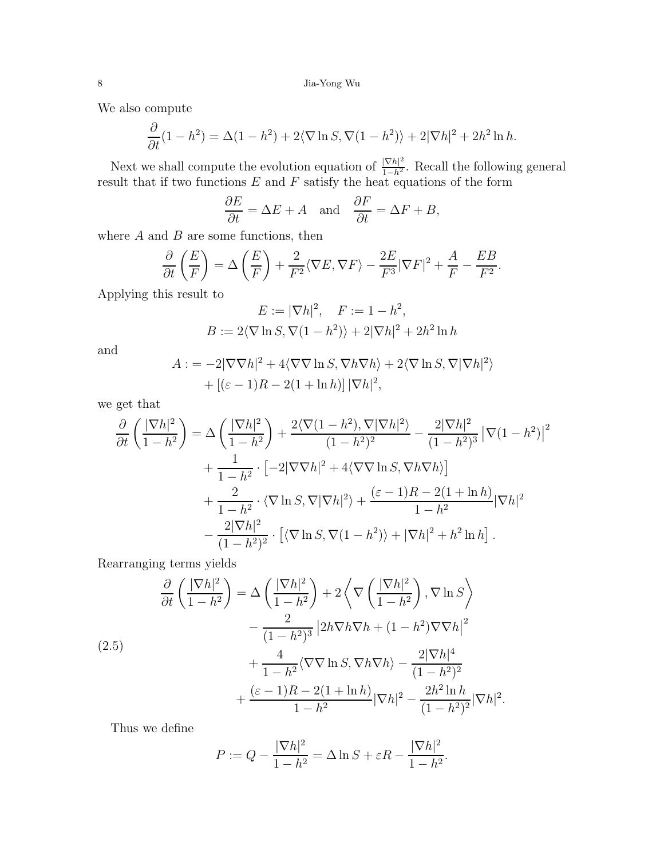We also compute

$$
\frac{\partial}{\partial t}(1-h^2) = \Delta(1-h^2) + 2\langle \nabla \ln S, \nabla(1-h^2) \rangle + 2|\nabla h|^2 + 2h^2 \ln h.
$$

Next we shall compute the evolution equation of  $\frac{|\nabla h|^2}{1-h^2}$ . Recall the following general result that if two functions  $E$  and  $F$  satisfy the heat equations of the form

$$
\frac{\partial E}{\partial t} = \Delta E + A \quad \text{and} \quad \frac{\partial F}{\partial t} = \Delta F + B,
$$

where  $A$  and  $B$  are some functions, then

$$
\frac{\partial}{\partial t}\left(\frac{E}{F}\right) = \Delta\left(\frac{E}{F}\right) + \frac{2}{F^2}\langle \nabla E, \nabla F \rangle - \frac{2E}{F^3}|\nabla F|^2 + \frac{A}{F} - \frac{EB}{F^2}.
$$

Applying this result to

$$
E := |\nabla h|^2, \quad F := 1 - h^2,
$$
  

$$
B := 2\langle \nabla \ln S, \nabla (1 - h^2) \rangle + 2|\nabla h|^2 + 2h^2 \ln h
$$

and

$$
A:=-2|\nabla\nabla h|^2+4\langle\nabla\nabla\ln S,\nabla h\nabla h\rangle+2\langle\nabla\ln S,\nabla|\nabla h|^2\rangle
$$

$$
+[(\varepsilon-1)R-2(1+\ln h)]|\nabla h|^2,
$$

we get that

$$
\frac{\partial}{\partial t} \left( \frac{|\nabla h|^2}{1 - h^2} \right) = \Delta \left( \frac{|\nabla h|^2}{1 - h^2} \right) + \frac{2 \langle \nabla (1 - h^2), \nabla |\nabla h|^2 \rangle}{(1 - h^2)^2} - \frac{2 |\nabla h|^2}{(1 - h^2)^3} |\nabla (1 - h^2)|^2 \n+ \frac{1}{1 - h^2} \cdot \left[ -2 |\nabla \nabla h|^2 + 4 \langle \nabla \nabla \ln S, \nabla h \nabla h \rangle \right] \n+ \frac{2}{1 - h^2} \cdot \langle \nabla \ln S, \nabla |\nabla h|^2 \rangle + \frac{(\varepsilon - 1)R - 2(1 + \ln h)}{1 - h^2} |\nabla h|^2 \n- \frac{2 |\nabla h|^2}{(1 - h^2)^2} \cdot \left[ \langle \nabla \ln S, \nabla (1 - h^2) \rangle + |\nabla h|^2 + h^2 \ln h \right].
$$

Rearranging terms yields

<span id="page-7-0"></span>
$$
\frac{\partial}{\partial t} \left( \frac{|\nabla h|^2}{1 - h^2} \right) = \Delta \left( \frac{|\nabla h|^2}{1 - h^2} \right) + 2 \left\langle \nabla \left( \frac{|\nabla h|^2}{1 - h^2} \right), \nabla \ln S \right\rangle
$$
\n
$$
- \frac{2}{(1 - h^2)^3} \left| 2h \nabla h \nabla h + (1 - h^2) \nabla \nabla h \right|^2
$$
\n
$$
+ \frac{4}{1 - h^2} \langle \nabla \nabla \ln S, \nabla h \nabla h \rangle - \frac{2|\nabla h|^4}{(1 - h^2)^2}
$$
\n
$$
+ \frac{(\varepsilon - 1)R - 2(1 + \ln h)}{1 - h^2} |\nabla h|^2 - \frac{2h^2 \ln h}{(1 - h^2)^2} |\nabla h|^2.
$$

Thus we define

$$
P := Q - \frac{|\nabla h|^2}{1 - h^2} = \Delta \ln S + \varepsilon R - \frac{|\nabla h|^2}{1 - h^2}.
$$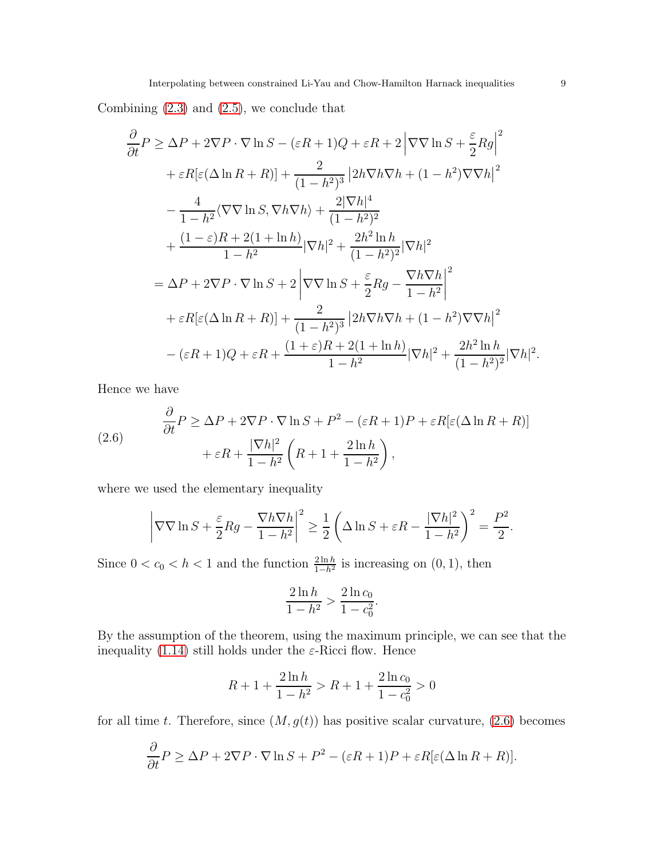Combining [\(2.3\)](#page-6-1) and [\(2.5\)](#page-7-0), we conclude that

$$
\frac{\partial}{\partial t} P \ge \Delta P + 2\nabla P \cdot \nabla \ln S - (\varepsilon R + 1)Q + \varepsilon R + 2 |\nabla \nabla \ln S + \frac{\varepsilon}{2} Rg|^2
$$
  
+  $\varepsilon R[\varepsilon(\Delta \ln R + R)] + \frac{2}{(1 - h^2)^3} |2h\nabla h \nabla h + (1 - h^2) \nabla \nabla h|^2$   
-  $\frac{4}{1 - h^2} \langle \nabla \nabla \ln S, \nabla h \nabla h \rangle + \frac{2|\nabla h|^4}{(1 - h^2)^2}$   
+  $\frac{(1 - \varepsilon)R + 2(1 + \ln h)}{1 - h^2} |\nabla h|^2 + \frac{2h^2 \ln h}{(1 - h^2)^2} |\nabla h|^2$   
=  $\Delta P + 2\nabla P \cdot \nabla \ln S + 2 |\nabla \nabla \ln S + \frac{\varepsilon}{2} Rg - \frac{\nabla h \nabla h}{1 - h^2}|^2$   
+  $\varepsilon R[\varepsilon(\Delta \ln R + R)] + \frac{2}{(1 - h^2)^3} |2h\nabla h \nabla h + (1 - h^2) \nabla \nabla h|^2$   
-  $(\varepsilon R + 1)Q + \varepsilon R + \frac{(1 + \varepsilon)R + 2(1 + \ln h)}{1 - h^2} |\nabla h|^2 + \frac{2h^2 \ln h}{(1 - h^2)^2} |\nabla h|^2$ 

Hence we have

<span id="page-8-0"></span>(2.6) 
$$
\frac{\partial}{\partial t} P \ge \Delta P + 2\nabla P \cdot \nabla \ln S + P^2 - (\varepsilon R + 1)P + \varepsilon R[\varepsilon(\Delta \ln R + R)] + \varepsilon R + \frac{|\nabla h|^2}{1 - h^2} \left( R + 1 + \frac{2 \ln h}{1 - h^2} \right),
$$

where we used the elementary inequality

$$
\left|\nabla\nabla\ln S + \frac{\varepsilon}{2}Rg - \frac{\nabla h\nabla h}{1-h^2}\right|^2 \ge \frac{1}{2}\left(\Delta\ln S + \varepsilon R - \frac{|\nabla h|^2}{1-h^2}\right)^2 = \frac{P^2}{2}.
$$

Since  $0 < c_0 < h < 1$  and the function  $\frac{2 \ln h}{1 - h^2}$  is increasing on  $(0, 1)$ , then

$$
\frac{2\ln h}{1-h^2} > \frac{2\ln c_0}{1-c_0^2}.
$$

By the assumption of the theorem, using the maximum principle, we can see that the inequality [\(1.14\)](#page-4-4) still holds under the  $\varepsilon$ -Ricci flow. Hence

$$
R + 1 + \frac{2\ln h}{1 - h^2} > R + 1 + \frac{2\ln c_0}{1 - c_0^2} > 0
$$

for all time t. Therefore, since  $(M, g(t))$  has positive scalar curvature, [\(2.6\)](#page-8-0) becomes

$$
\frac{\partial}{\partial t}P \ge \Delta P + 2\nabla P \cdot \nabla \ln S + P^2 - (\varepsilon R + 1)P + \varepsilon R[\varepsilon(\Delta \ln R + R)].
$$

.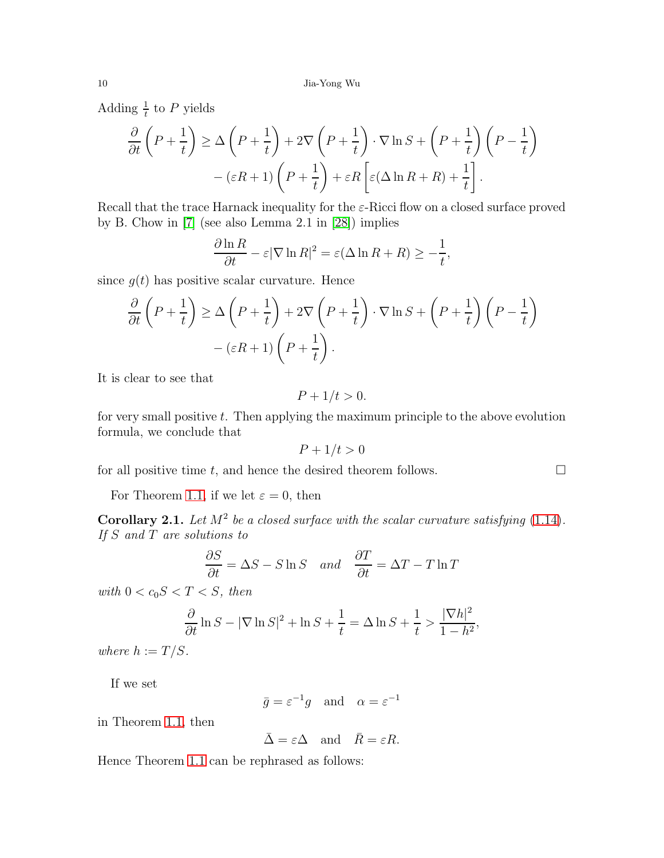Adding  $\frac{1}{t}$  to P yields

$$
\frac{\partial}{\partial t}\left(P + \frac{1}{t}\right) \ge \Delta\left(P + \frac{1}{t}\right) + 2\nabla\left(P + \frac{1}{t}\right) \cdot \nabla \ln S + \left(P + \frac{1}{t}\right)\left(P - \frac{1}{t}\right) \n- (\varepsilon R + 1)\left(P + \frac{1}{t}\right) + \varepsilon R\left[\varepsilon(\Delta \ln R + R) + \frac{1}{t}\right].
$$

Recall that the trace Harnack inequality for the  $\varepsilon$ -Ricci flow on a closed surface proved by B. Chow in [7] (see also Lemma 2.1 in [28]) implies

$$
\frac{\partial \ln R}{\partial t} - \varepsilon |\nabla \ln R|^2 = \varepsilon (\Delta \ln R + R) \ge -\frac{1}{t},
$$

since  $q(t)$  has positive scalar curvature. Hence

$$
\frac{\partial}{\partial t}\left(P + \frac{1}{t}\right) \ge \Delta\left(P + \frac{1}{t}\right) + 2\nabla\left(P + \frac{1}{t}\right) \cdot \nabla \ln S + \left(P + \frac{1}{t}\right)\left(P - \frac{1}{t}\right) - (\varepsilon R + 1)\left(P + \frac{1}{t}\right).
$$

It is clear to see that

$$
P + 1/t > 0.
$$

for very small positive  $t$ . Then applying the maximum principle to the above evolution formula, we conclude that

$$
P + 1/t > 0
$$

for all positive time t, and hence the desired theorem follows.  $\Box$ 

For Theorem [1.1,](#page-4-2) if we let  $\varepsilon = 0$ , then

**Corollary 2.1.** Let  $M^2$  be a closed surface with the scalar curvature satisfying  $(1.14)$ . *If* S *and* T *are solutions to*

$$
\frac{\partial S}{\partial t} = \Delta S - S \ln S \quad and \quad \frac{\partial T}{\partial t} = \Delta T - T \ln T
$$

with  $0 < c_0 S < T < S$ , then

$$
\frac{\partial}{\partial t} \ln S - |\nabla \ln S|^2 + \ln S + \frac{1}{t} = \Delta \ln S + \frac{1}{t} > \frac{|\nabla h|^2}{1 - h^2},
$$

*where*  $h := T/S$ *.* 

If we set

 $\bar{g} = \varepsilon^{-1} g$  and  $\alpha = \varepsilon^{-1}$ 

in Theorem [1.1,](#page-4-2) then

 $\bar{\Delta} = \varepsilon \Delta$  and  $\bar{R} = \varepsilon R$ .

Hence Theorem [1.1](#page-4-2) can be rephrased as follows: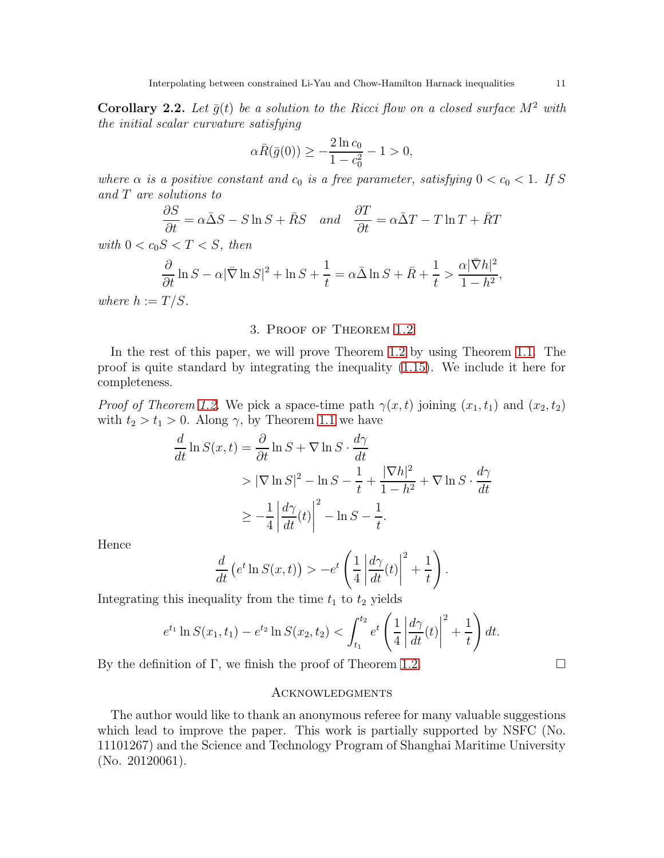Corollary 2.2. Let  $\bar{g}(t)$  be a solution to the Ricci flow on a closed surface  $M^2$  with *the initial scalar curvature satisfying*

$$
\alpha \bar{R}(\bar{g}(0)) \ge -\frac{2\ln c_0}{1 - c_0^2} - 1 > 0,
$$

*where*  $\alpha$  *is a positive constant and*  $c_0$  *is a free parameter, satisfying*  $0 < c_0 < 1$ *. If* S *and* T *are solutions to*

$$
\frac{\partial S}{\partial t} = \alpha \bar{\Delta} S - S \ln S + \bar{R} S \quad and \quad \frac{\partial T}{\partial t} = \alpha \bar{\Delta} T - T \ln T + \bar{R} T
$$

*with*  $0 < c_0 S < T < S$ *, then* 

$$
\frac{\partial}{\partial t} \ln S - \alpha |\bar{\nabla} \ln S|^2 + \ln S + \frac{1}{t} = \alpha \bar{\Delta} \ln S + \bar{R} + \frac{1}{t} > \frac{\alpha |\bar{\nabla} h|^2}{1 - h^2},
$$

<span id="page-10-0"></span>*where*  $h := T/S$ *.* 

# 3. Proof of Theorem [1.2](#page-5-1)

In the rest of this paper, we will prove Theorem [1.2](#page-5-1) by using Theorem [1.1.](#page-4-2) The proof is quite standard by integrating the inequality [\(1.15\)](#page-4-3). We include it here for completeness.

*Proof of Theorem [1.2.](#page-5-1)* We pick a space-time path  $\gamma(x,t)$  joining  $(x_1,t_1)$  and  $(x_2,t_2)$ with  $t_2 > t_1 > 0$ . Along  $\gamma$ , by Theorem [1.1](#page-4-2) we have

$$
\frac{d}{dt} \ln S(x, t) = \frac{\partial}{\partial t} \ln S + \nabla \ln S \cdot \frac{d\gamma}{dt}
$$
\n
$$
> |\nabla \ln S|^2 - \ln S - \frac{1}{t} + \frac{|\nabla h|^2}{1 - h^2} + \nabla \ln S \cdot \frac{d\gamma}{dt}
$$
\n
$$
\geq -\frac{1}{4} \left| \frac{d\gamma}{dt}(t) \right|^2 - \ln S - \frac{1}{t}.
$$

Hence

$$
\frac{d}{dt}\left(e^t\ln S(x,t)\right) > -e^t\left(\frac{1}{4}\left|\frac{d\gamma}{dt}(t)\right|^2 + \frac{1}{t}\right).
$$

Integrating this inequality from the time  $t_1$  to  $t_2$  yields

$$
e^{t_1} \ln S(x_1, t_1) - e^{t_2} \ln S(x_2, t_2) < \int_{t_1}^{t_2} e^t \left( \frac{1}{4} \left| \frac{d\gamma}{dt}(t) \right|^2 + \frac{1}{t} \right) dt.
$$

By the definition of  $\Gamma$ , we finish the proof of Theorem [1.2.](#page-5-1)

### **ACKNOWLEDGMENTS**

The author would like to thank an anonymous referee for many valuable suggestions which lead to improve the paper. This work is partially supported by NSFC (No. 11101267) and the Science and Technology Program of Shanghai Maritime University (No. 20120061).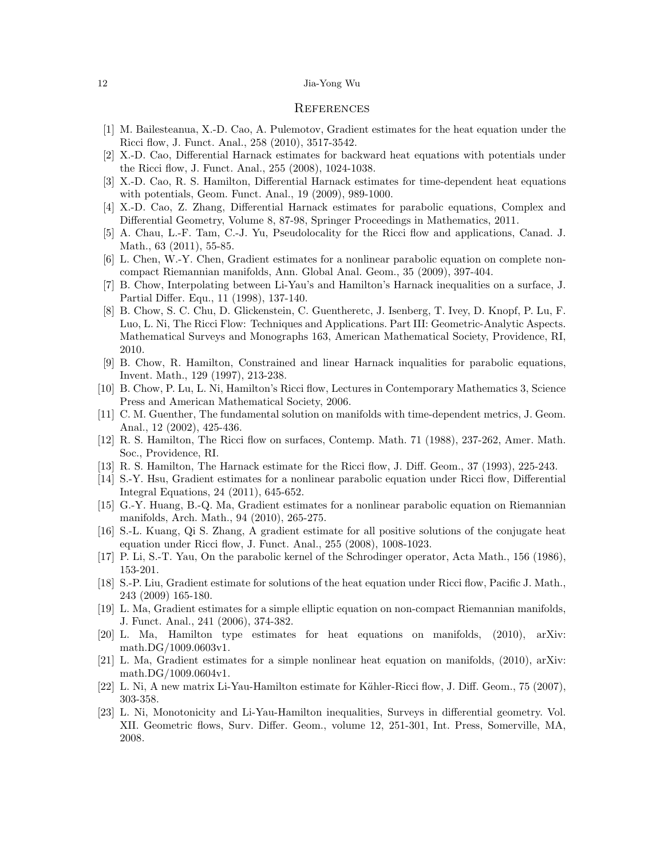#### References

- [1] M. Bailesteanua, X.-D. Cao, A. Pulemotov, Gradient estimates for the heat equation under the Ricci flow, J. Funct. Anal., 258 (2010), 3517-3542.
- [2] X.-D. Cao, Differential Harnack estimates for backward heat equations with potentials under the Ricci flow, J. Funct. Anal., 255 (2008), 1024-1038.
- [3] X.-D. Cao, R. S. Hamilton, Differential Harnack estimates for time-dependent heat equations with potentials, Geom. Funct. Anal., 19 (2009), 989-1000.
- [4] X.-D. Cao, Z. Zhang, Differential Harnack estimates for parabolic equations, Complex and Differential Geometry, Volume 8, 87-98, Springer Proceedings in Mathematics, 2011.
- [5] A. Chau, L.-F. Tam, C.-J. Yu, Pseudolocality for the Ricci flow and applications, Canad. J. Math., 63 (2011), 55-85.
- [6] L. Chen, W.-Y. Chen, Gradient estimates for a nonlinear parabolic equation on complete noncompact Riemannian manifolds, Ann. Global Anal. Geom., 35 (2009), 397-404.
- <span id="page-11-1"></span>[7] B. Chow, Interpolating between Li-Yau's and Hamilton's Harnack inequalities on a surface, J. Partial Differ. Equ., 11 (1998), 137-140.
- [8] B. Chow, S. C. Chu, D. Glickenstein, C. Guentheretc, J. Isenberg, T. Ivey, D. Knopf, P. Lu, F. Luo, L. Ni, The Ricci Flow: Techniques and Applications. Part III: Geometric-Analytic Aspects. Mathematical Surveys and Monographs 163, American Mathematical Society, Providence, RI, 2010.
- [9] B. Chow, R. Hamilton, Constrained and linear Harnack inqualities for parabolic equations, Invent. Math., 129 (1997), 213-238.
- [10] B. Chow, P. Lu, L. Ni, Hamilton's Ricci flow, Lectures in Contemporary Mathematics 3, Science Press and American Mathematical Society, 2006.
- [11] C. M. Guenther, The fundamental solution on manifolds with time-dependent metrics, J. Geom. Anal., 12 (2002), 425-436.
- [12] R. S. Hamilton, The Ricci flow on surfaces, Contemp. Math. 71 (1988), 237-262, Amer. Math. Soc., Providence, RI.
- [13] R. S. Hamilton, The Harnack estimate for the Ricci flow, J. Diff. Geom., 37 (1993), 225-243.
- [14] S.-Y. Hsu, Gradient estimates for a nonlinear parabolic equation under Ricci flow, Differential Integral Equations, 24 (2011), 645-652.
- [15] G.-Y. Huang, B.-Q. Ma, Gradient estimates for a nonlinear parabolic equation on Riemannian manifolds, Arch. Math., 94 (2010), 265-275.
- [16] S.-L. Kuang, Qi S. Zhang, A gradient estimate for all positive solutions of the conjugate heat equation under Ricci flow, J. Funct. Anal., 255 (2008), 1008-1023.
- [17] P. Li, S.-T. Yau, On the parabolic kernel of the Schrodinger operator, Acta Math., 156 (1986), 153-201.
- [18] S.-P. Liu, Gradient estimate for solutions of the heat equation under Ricci flow, Pacific J. Math., 243 (2009) 165-180.
- [19] L. Ma, Gradient estimates for a simple elliptic equation on non-compact Riemannian manifolds, J. Funct. Anal., 241 (2006), 374-382.
- [20] L. Ma, Hamilton type estimates for heat equations on manifolds, (2010), arXiv: math.DG/1009.0603v1.
- [21] L. Ma, Gradient estimates for a simple nonlinear heat equation on manifolds, (2010), arXiv: math.DG/1009.0604v1.
- <span id="page-11-2"></span><span id="page-11-0"></span>[22] L. Ni, A new matrix Li-Yau-Hamilton estimate for K¨ahler-Ricci flow, J. Diff. Geom., 75 (2007), 303-358.
- [23] L. Ni, Monotonicity and Li-Yau-Hamilton inequalities, Surveys in differential geometry. Vol. XII. Geometric flows, Surv. Differ. Geom., volume 12, 251-301, Int. Press, Somerville, MA, 2008.